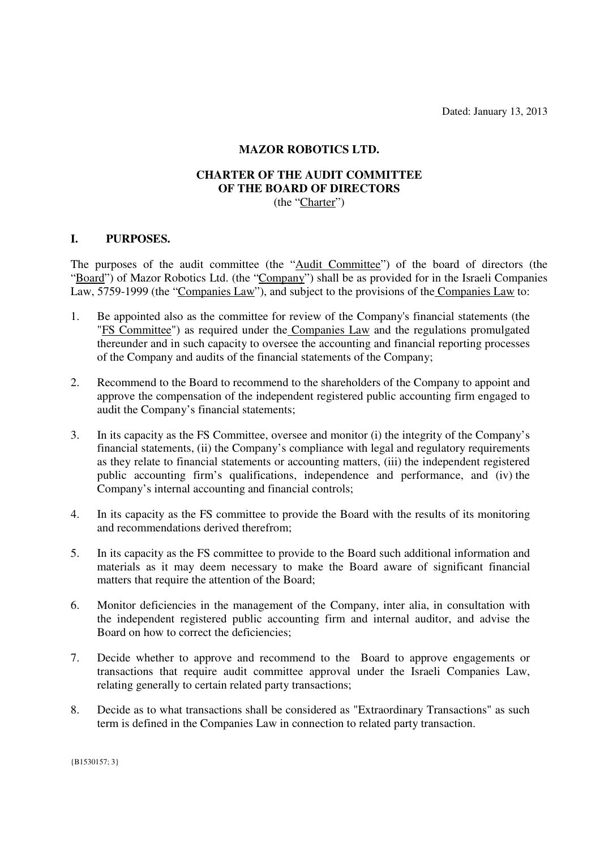Dated: January 13, 2013

## **MAZOR ROBOTICS LTD.**

## **CHARTER OF THE AUDIT COMMITTEE OF THE BOARD OF DIRECTORS**  (the "Charter")

### **I. PURPOSES.**

The purposes of the audit committee (the "Audit Committee") of the board of directors (the "Board") of Mazor Robotics Ltd. (the "Company") shall be as provided for in the Israeli Companies Law, 5759-1999 (the "Companies Law"), and subject to the provisions of the Companies Law to:

- 1. Be appointed also as the committee for review of the Company's financial statements (the "FS Committee") as required under the Companies Law and the regulations promulgated thereunder and in such capacity to oversee the accounting and financial reporting processes of the Company and audits of the financial statements of the Company;
- 2. Recommend to the Board to recommend to the shareholders of the Company to appoint and approve the compensation of the independent registered public accounting firm engaged to audit the Company's financial statements;
- 3. In its capacity as the FS Committee, oversee and monitor (i) the integrity of the Company's financial statements, (ii) the Company's compliance with legal and regulatory requirements as they relate to financial statements or accounting matters, (iii) the independent registered public accounting firm's qualifications, independence and performance, and (iv) the Company's internal accounting and financial controls;
- 4. In its capacity as the FS committee to provide the Board with the results of its monitoring and recommendations derived therefrom;
- 5. In its capacity as the FS committee to provide to the Board such additional information and materials as it may deem necessary to make the Board aware of significant financial matters that require the attention of the Board:
- 6. Monitor deficiencies in the management of the Company, inter alia, in consultation with the independent registered public accounting firm and internal auditor, and advise the Board on how to correct the deficiencies;
- 7. Decide whether to approve and recommend to the Board to approve engagements or transactions that require audit committee approval under the Israeli Companies Law, relating generally to certain related party transactions;
- 8. Decide as to what transactions shall be considered as "Extraordinary Transactions" as such term is defined in the Companies Law in connection to related party transaction.

{B1530157; 3}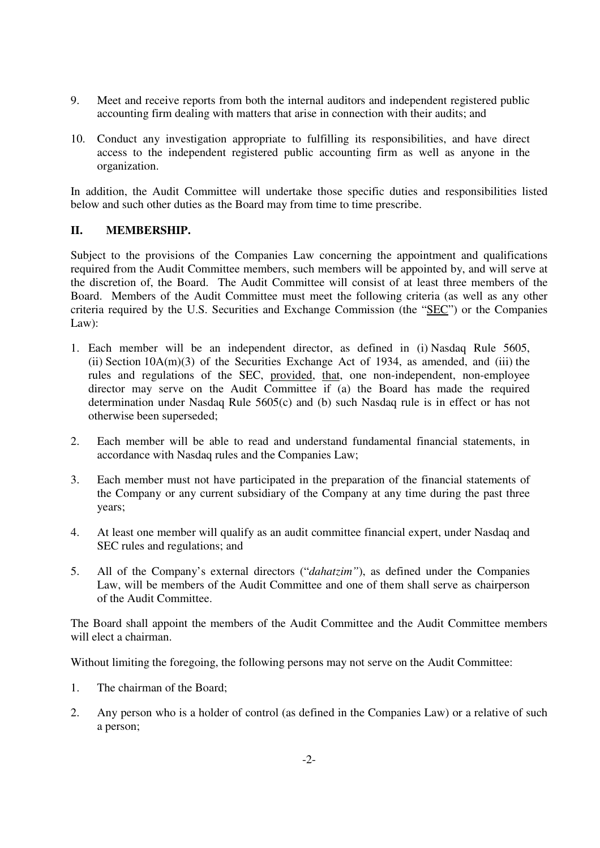- 9. Meet and receive reports from both the internal auditors and independent registered public accounting firm dealing with matters that arise in connection with their audits; and
- 10. Conduct any investigation appropriate to fulfilling its responsibilities, and have direct access to the independent registered public accounting firm as well as anyone in the organization.

In addition, the Audit Committee will undertake those specific duties and responsibilities listed below and such other duties as the Board may from time to time prescribe.

# **II. MEMBERSHIP.**

Subject to the provisions of the Companies Law concerning the appointment and qualifications required from the Audit Committee members, such members will be appointed by, and will serve at the discretion of, the Board. The Audit Committee will consist of at least three members of the Board. Members of the Audit Committee must meet the following criteria (as well as any other criteria required by the U.S. Securities and Exchange Commission (the "SEC") or the Companies Law):

- 1. Each member will be an independent director, as defined in (i) Nasdaq Rule 5605, (ii) Section  $10A(m)(3)$  of the Securities Exchange Act of 1934, as amended, and (iii) the rules and regulations of the SEC, provided, that, one non-independent, non-employee director may serve on the Audit Committee if (a) the Board has made the required determination under Nasdaq Rule 5605(c) and (b) such Nasdaq rule is in effect or has not otherwise been superseded;
- 2. Each member will be able to read and understand fundamental financial statements, in accordance with Nasdaq rules and the Companies Law;
- 3. Each member must not have participated in the preparation of the financial statements of the Company or any current subsidiary of the Company at any time during the past three years;
- 4. At least one member will qualify as an audit committee financial expert, under Nasdaq and SEC rules and regulations; and
- 5. All of the Company's external directors ("*dahatzim"*), as defined under the Companies Law, will be members of the Audit Committee and one of them shall serve as chairperson of the Audit Committee.

The Board shall appoint the members of the Audit Committee and the Audit Committee members will elect a chairman.

Without limiting the foregoing, the following persons may not serve on the Audit Committee:

- 1. The chairman of the Board;
- 2. Any person who is a holder of control (as defined in the Companies Law) or a relative of such a person;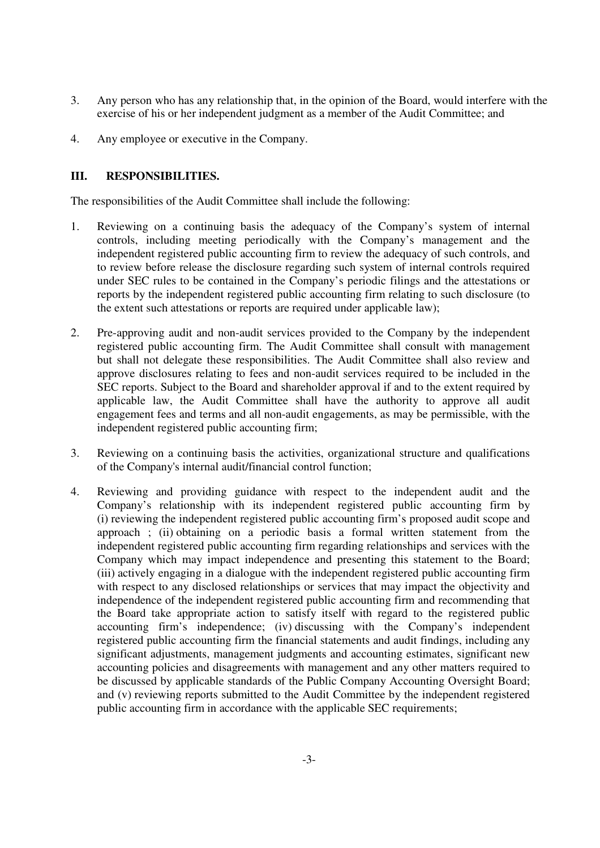- 3. Any person who has any relationship that, in the opinion of the Board, would interfere with the exercise of his or her independent judgment as a member of the Audit Committee; and
- 4. Any employee or executive in the Company.

## **III. RESPONSIBILITIES.**

The responsibilities of the Audit Committee shall include the following:

- 1. Reviewing on a continuing basis the adequacy of the Company's system of internal controls, including meeting periodically with the Company's management and the independent registered public accounting firm to review the adequacy of such controls, and to review before release the disclosure regarding such system of internal controls required under SEC rules to be contained in the Company's periodic filings and the attestations or reports by the independent registered public accounting firm relating to such disclosure (to the extent such attestations or reports are required under applicable law);
- 2. Pre-approving audit and non-audit services provided to the Company by the independent registered public accounting firm. The Audit Committee shall consult with management but shall not delegate these responsibilities. The Audit Committee shall also review and approve disclosures relating to fees and non-audit services required to be included in the SEC reports. Subject to the Board and shareholder approval if and to the extent required by applicable law, the Audit Committee shall have the authority to approve all audit engagement fees and terms and all non-audit engagements, as may be permissible, with the independent registered public accounting firm;
- 3. Reviewing on a continuing basis the activities, organizational structure and qualifications of the Company's internal audit/financial control function;
- 4. Reviewing and providing guidance with respect to the independent audit and the Company's relationship with its independent registered public accounting firm by (i) reviewing the independent registered public accounting firm's proposed audit scope and approach ; (ii) obtaining on a periodic basis a formal written statement from the independent registered public accounting firm regarding relationships and services with the Company which may impact independence and presenting this statement to the Board; (iii) actively engaging in a dialogue with the independent registered public accounting firm with respect to any disclosed relationships or services that may impact the objectivity and independence of the independent registered public accounting firm and recommending that the Board take appropriate action to satisfy itself with regard to the registered public accounting firm's independence; (iv) discussing with the Company's independent registered public accounting firm the financial statements and audit findings, including any significant adjustments, management judgments and accounting estimates, significant new accounting policies and disagreements with management and any other matters required to be discussed by applicable standards of the Public Company Accounting Oversight Board; and (v) reviewing reports submitted to the Audit Committee by the independent registered public accounting firm in accordance with the applicable SEC requirements;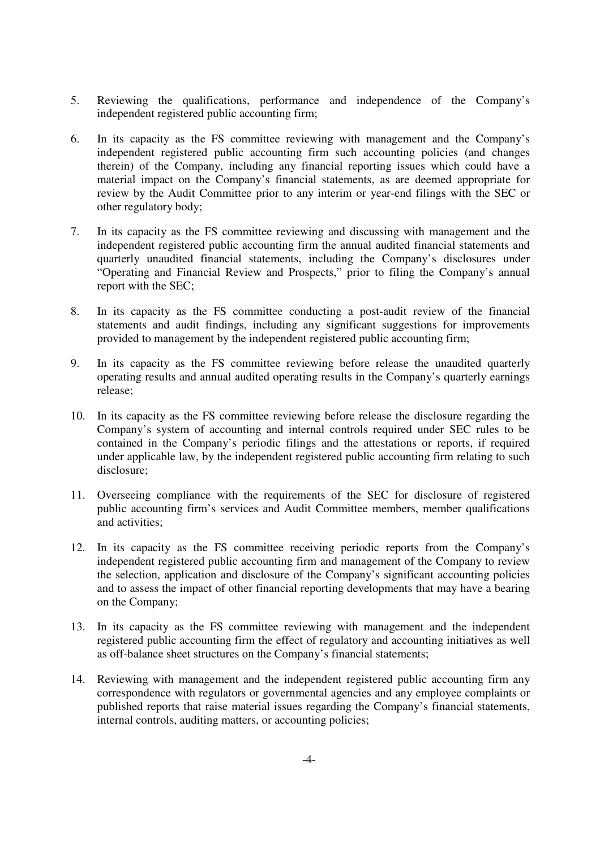- 5. Reviewing the qualifications, performance and independence of the Company's independent registered public accounting firm;
- 6. In its capacity as the FS committee reviewing with management and the Company's independent registered public accounting firm such accounting policies (and changes therein) of the Company, including any financial reporting issues which could have a material impact on the Company's financial statements, as are deemed appropriate for review by the Audit Committee prior to any interim or year-end filings with the SEC or other regulatory body;
- 7. In its capacity as the FS committee reviewing and discussing with management and the independent registered public accounting firm the annual audited financial statements and quarterly unaudited financial statements, including the Company's disclosures under "Operating and Financial Review and Prospects," prior to filing the Company's annual report with the SEC;
- 8. In its capacity as the FS committee conducting a post-audit review of the financial statements and audit findings, including any significant suggestions for improvements provided to management by the independent registered public accounting firm;
- 9. In its capacity as the FS committee reviewing before release the unaudited quarterly operating results and annual audited operating results in the Company's quarterly earnings release;
- 10. In its capacity as the FS committee reviewing before release the disclosure regarding the Company's system of accounting and internal controls required under SEC rules to be contained in the Company's periodic filings and the attestations or reports, if required under applicable law, by the independent registered public accounting firm relating to such disclosure;
- 11. Overseeing compliance with the requirements of the SEC for disclosure of registered public accounting firm's services and Audit Committee members, member qualifications and activities;
- 12. In its capacity as the FS committee receiving periodic reports from the Company's independent registered public accounting firm and management of the Company to review the selection, application and disclosure of the Company's significant accounting policies and to assess the impact of other financial reporting developments that may have a bearing on the Company;
- 13. In its capacity as the FS committee reviewing with management and the independent registered public accounting firm the effect of regulatory and accounting initiatives as well as off-balance sheet structures on the Company's financial statements;
- 14. Reviewing with management and the independent registered public accounting firm any correspondence with regulators or governmental agencies and any employee complaints or published reports that raise material issues regarding the Company's financial statements, internal controls, auditing matters, or accounting policies;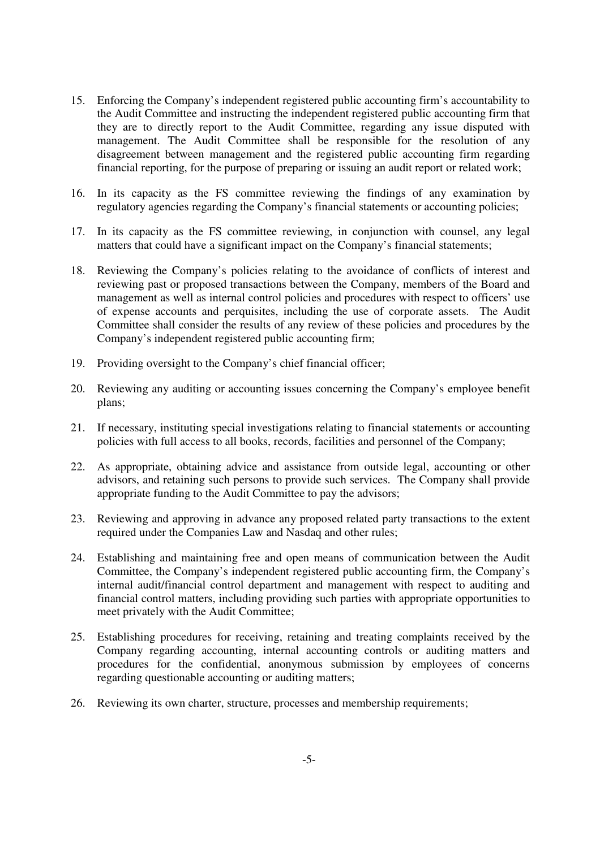- 15. Enforcing the Company's independent registered public accounting firm's accountability to the Audit Committee and instructing the independent registered public accounting firm that they are to directly report to the Audit Committee, regarding any issue disputed with management. The Audit Committee shall be responsible for the resolution of any disagreement between management and the registered public accounting firm regarding financial reporting, for the purpose of preparing or issuing an audit report or related work;
- 16. In its capacity as the FS committee reviewing the findings of any examination by regulatory agencies regarding the Company's financial statements or accounting policies;
- 17. In its capacity as the FS committee reviewing, in conjunction with counsel, any legal matters that could have a significant impact on the Company's financial statements;
- 18. Reviewing the Company's policies relating to the avoidance of conflicts of interest and reviewing past or proposed transactions between the Company, members of the Board and management as well as internal control policies and procedures with respect to officers' use of expense accounts and perquisites, including the use of corporate assets. The Audit Committee shall consider the results of any review of these policies and procedures by the Company's independent registered public accounting firm;
- 19. Providing oversight to the Company's chief financial officer;
- 20. Reviewing any auditing or accounting issues concerning the Company's employee benefit plans;
- 21. If necessary, instituting special investigations relating to financial statements or accounting policies with full access to all books, records, facilities and personnel of the Company;
- 22. As appropriate, obtaining advice and assistance from outside legal, accounting or other advisors, and retaining such persons to provide such services. The Company shall provide appropriate funding to the Audit Committee to pay the advisors;
- 23. Reviewing and approving in advance any proposed related party transactions to the extent required under the Companies Law and Nasdaq and other rules;
- 24. Establishing and maintaining free and open means of communication between the Audit Committee, the Company's independent registered public accounting firm, the Company's internal audit/financial control department and management with respect to auditing and financial control matters, including providing such parties with appropriate opportunities to meet privately with the Audit Committee;
- 25. Establishing procedures for receiving, retaining and treating complaints received by the Company regarding accounting, internal accounting controls or auditing matters and procedures for the confidential, anonymous submission by employees of concerns regarding questionable accounting or auditing matters;
- 26. Reviewing its own charter, structure, processes and membership requirements;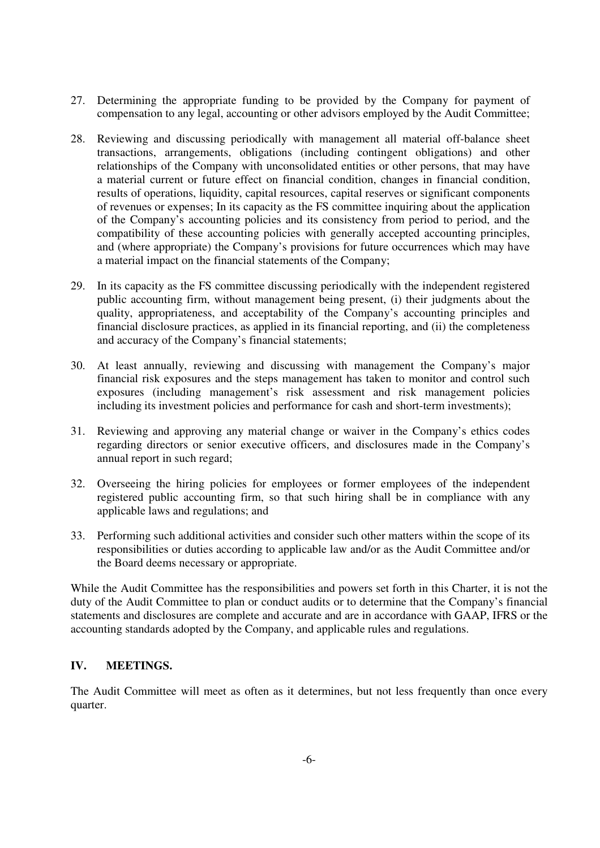- 27. Determining the appropriate funding to be provided by the Company for payment of compensation to any legal, accounting or other advisors employed by the Audit Committee;
- 28. Reviewing and discussing periodically with management all material off-balance sheet transactions, arrangements, obligations (including contingent obligations) and other relationships of the Company with unconsolidated entities or other persons, that may have a material current or future effect on financial condition, changes in financial condition, results of operations, liquidity, capital resources, capital reserves or significant components of revenues or expenses; In its capacity as the FS committee inquiring about the application of the Company's accounting policies and its consistency from period to period, and the compatibility of these accounting policies with generally accepted accounting principles, and (where appropriate) the Company's provisions for future occurrences which may have a material impact on the financial statements of the Company;
- 29. In its capacity as the FS committee discussing periodically with the independent registered public accounting firm, without management being present, (i) their judgments about the quality, appropriateness, and acceptability of the Company's accounting principles and financial disclosure practices, as applied in its financial reporting, and (ii) the completeness and accuracy of the Company's financial statements;
- 30. At least annually, reviewing and discussing with management the Company's major financial risk exposures and the steps management has taken to monitor and control such exposures (including management's risk assessment and risk management policies including its investment policies and performance for cash and short-term investments);
- 31. Reviewing and approving any material change or waiver in the Company's ethics codes regarding directors or senior executive officers, and disclosures made in the Company's annual report in such regard;
- 32. Overseeing the hiring policies for employees or former employees of the independent registered public accounting firm, so that such hiring shall be in compliance with any applicable laws and regulations; and
- 33. Performing such additional activities and consider such other matters within the scope of its responsibilities or duties according to applicable law and/or as the Audit Committee and/or the Board deems necessary or appropriate.

While the Audit Committee has the responsibilities and powers set forth in this Charter, it is not the duty of the Audit Committee to plan or conduct audits or to determine that the Company's financial statements and disclosures are complete and accurate and are in accordance with GAAP, IFRS or the accounting standards adopted by the Company, and applicable rules and regulations.

# **IV. MEETINGS.**

The Audit Committee will meet as often as it determines, but not less frequently than once every quarter.